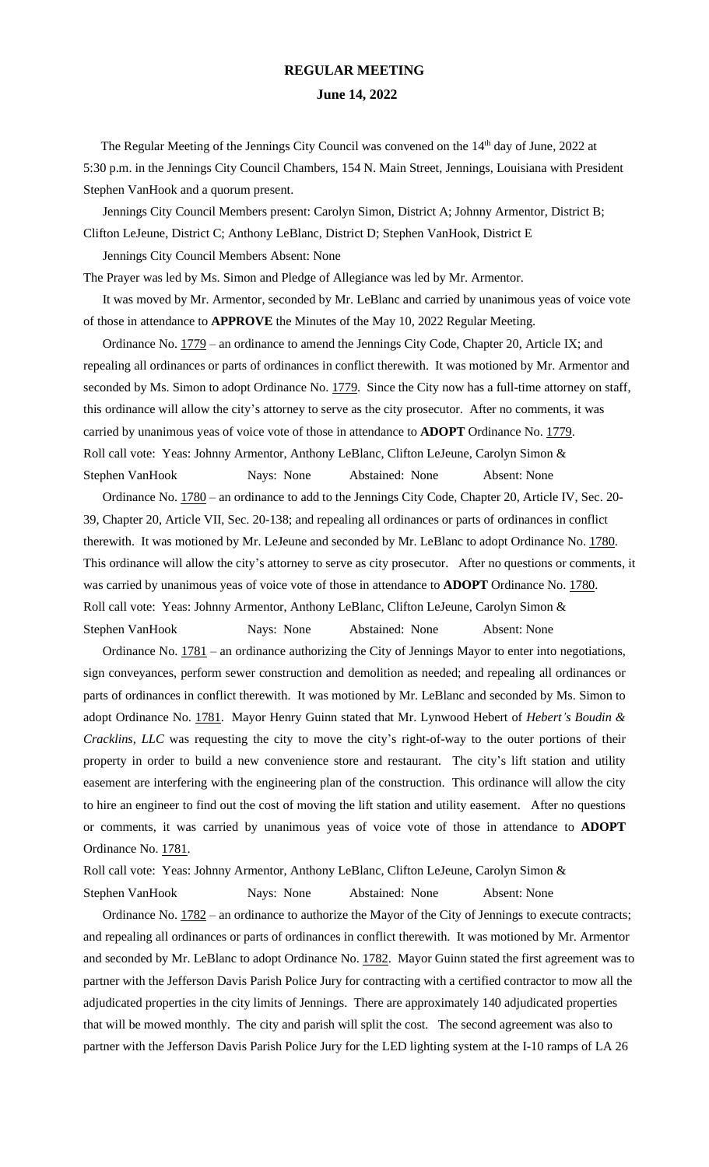## **REGULAR MEETING June 14, 2022**

The Regular Meeting of the Jennings City Council was convened on the 14<sup>th</sup> day of June, 2022 at 5:30 p.m. in the Jennings City Council Chambers, 154 N. Main Street, Jennings, Louisiana with President Stephen VanHook and a quorum present.

 Jennings City Council Members present: Carolyn Simon, District A; Johnny Armentor, District B; Clifton LeJeune, District C; Anthony LeBlanc, District D; Stephen VanHook, District E

Jennings City Council Members Absent: None

The Prayer was led by Ms. Simon and Pledge of Allegiance was led by Mr. Armentor.

 It was moved by Mr. Armentor, seconded by Mr. LeBlanc and carried by unanimous yeas of voice vote of those in attendance to **APPROVE** the Minutes of the May 10, 2022 Regular Meeting.

Ordinance No.  $1779$  – an ordinance to amend the Jennings City Code, Chapter 20, Article IX; and repealing all ordinances or parts of ordinances in conflict therewith. It was motioned by Mr. Armentor and seconded by Ms. Simon to adopt Ordinance No. 1779. Since the City now has a full-time attorney on staff, this ordinance will allow the city's attorney to serve as the city prosecutor. After no comments, it was carried by unanimous yeas of voice vote of those in attendance to **ADOPT** Ordinance No. 1779. Roll call vote: Yeas: Johnny Armentor, Anthony LeBlanc, Clifton LeJeune, Carolyn Simon & Stephen VanHook Nays: None Abstained: None Absent: None

Ordinance No.  $1780$  – an ordinance to add to the Jennings City Code, Chapter 20, Article IV, Sec. 20-39, Chapter 20, Article VII, Sec. 20-138; and repealing all ordinances or parts of ordinances in conflict therewith. It was motioned by Mr. LeJeune and seconded by Mr. LeBlanc to adopt Ordinance No. 1780. This ordinance will allow the city's attorney to serve as city prosecutor. After no questions or comments, it was carried by unanimous yeas of voice vote of those in attendance to **ADOPT** Ordinance No. 1780. Roll call vote: Yeas: Johnny Armentor, Anthony LeBlanc, Clifton LeJeune, Carolyn Simon & Stephen VanHook Nays: None Abstained: None Absent: None

Ordinance No.  $1781$  – an ordinance authorizing the City of Jennings Mayor to enter into negotiations, sign conveyances, perform sewer construction and demolition as needed; and repealing all ordinances or parts of ordinances in conflict therewith. It was motioned by Mr. LeBlanc and seconded by Ms. Simon to adopt Ordinance No. 1781. Mayor Henry Guinn stated that Mr. Lynwood Hebert of *Hebert's Boudin & Cracklins, LLC* was requesting the city to move the city's right-of-way to the outer portions of their property in order to build a new convenience store and restaurant*.* The city's lift station and utility easement are interfering with the engineering plan of the construction. This ordinance will allow the city to hire an engineer to find out the cost of moving the lift station and utility easement. After no questions or comments, it was carried by unanimous yeas of voice vote of those in attendance to **ADOPT** Ordinance No. 1781.

Roll call vote: Yeas: Johnny Armentor, Anthony LeBlanc, Clifton LeJeune, Carolyn Simon & Stephen VanHook Nays: None Abstained: None Absent: None

Ordinance No.  $1782$  – an ordinance to authorize the Mayor of the City of Jennings to execute contracts; and repealing all ordinances or parts of ordinances in conflict therewith. It was motioned by Mr. Armentor and seconded by Mr. LeBlanc to adopt Ordinance No. 1782. Mayor Guinn stated the first agreement was to partner with the Jefferson Davis Parish Police Jury for contracting with a certified contractor to mow all the adjudicated properties in the city limits of Jennings. There are approximately 140 adjudicated properties that will be mowed monthly. The city and parish will split the cost. The second agreement was also to partner with the Jefferson Davis Parish Police Jury for the LED lighting system at the I-10 ramps of LA 26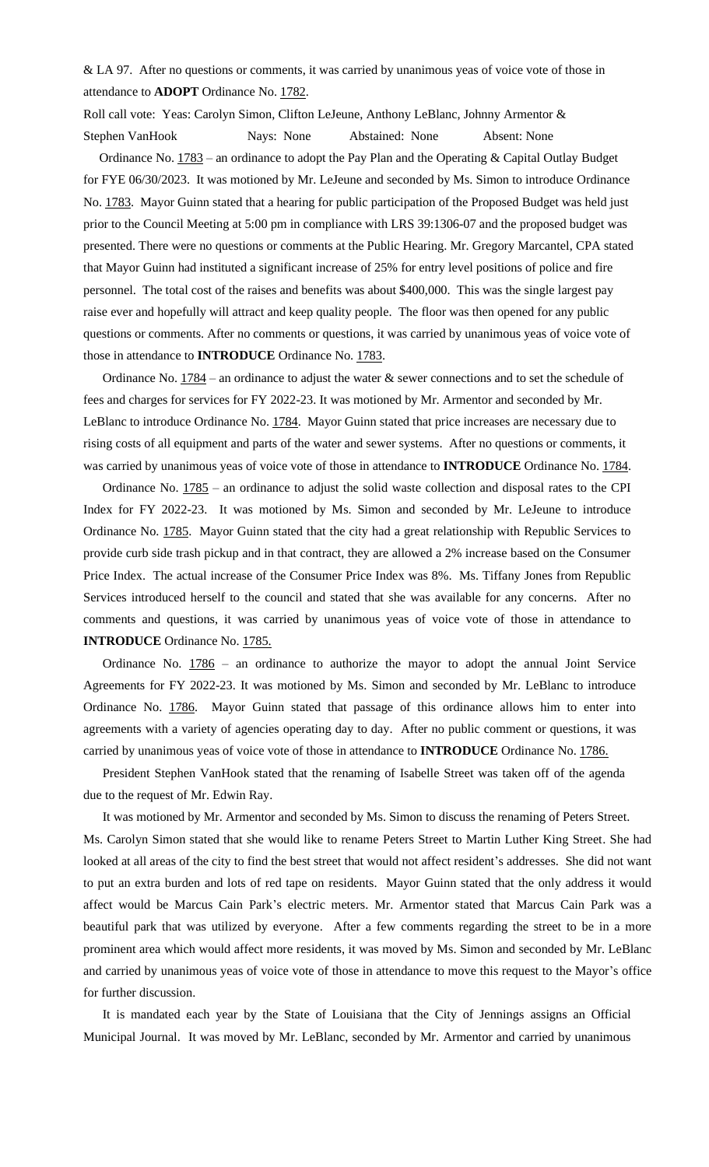& LA 97. After no questions or comments, it was carried by unanimous yeas of voice vote of those in attendance to **ADOPT** Ordinance No. 1782.

Roll call vote: Yeas: Carolyn Simon, Clifton LeJeune, Anthony LeBlanc, Johnny Armentor & Stephen VanHook Nays: None Abstained: None Absent: None

Ordinance No. 1783 – an ordinance to adopt the Pay Plan and the Operating & Capital Outlay Budget for FYE 06/30/2023. It was motioned by Mr. LeJeune and seconded by Ms. Simon to introduce Ordinance No. 1783. Mayor Guinn stated that a hearing for public participation of the Proposed Budget was held just prior to the Council Meeting at 5:00 pm in compliance with LRS 39:1306-07 and the proposed budget was presented. There were no questions or comments at the Public Hearing. Mr. Gregory Marcantel, CPA stated that Mayor Guinn had instituted a significant increase of 25% for entry level positions of police and fire personnel. The total cost of the raises and benefits was about \$400,000. This was the single largest pay raise ever and hopefully will attract and keep quality people. The floor was then opened for any public questions or comments. After no comments or questions, it was carried by unanimous yeas of voice vote of those in attendance to **INTRODUCE** Ordinance No. 1783.

Ordinance No.  $1784$  – an ordinance to adjust the water & sewer connections and to set the schedule of fees and charges for services for FY 2022-23. It was motioned by Mr. Armentor and seconded by Mr. LeBlanc to introduce Ordinance No. 1784. Mayor Guinn stated that price increases are necessary due to rising costs of all equipment and parts of the water and sewer systems. After no questions or comments, it was carried by unanimous yeas of voice vote of those in attendance to **INTRODUCE** Ordinance No. 1784.

 Ordinance No. 1785 – an ordinance to adjust the solid waste collection and disposal rates to the CPI Index for FY 2022-23. It was motioned by Ms. Simon and seconded by Mr. LeJeune to introduce Ordinance No. 1785. Mayor Guinn stated that the city had a great relationship with Republic Services to provide curb side trash pickup and in that contract, they are allowed a 2% increase based on the Consumer Price Index. The actual increase of the Consumer Price Index was 8%. Ms. Tiffany Jones from Republic Services introduced herself to the council and stated that she was available for any concerns. After no comments and questions, it was carried by unanimous yeas of voice vote of those in attendance to **INTRODUCE** Ordinance No. 1785.

Ordinance No.  $1786 -$  an ordinance to authorize the mayor to adopt the annual Joint Service Agreements for FY 2022-23. It was motioned by Ms. Simon and seconded by Mr. LeBlanc to introduce Ordinance No. 1786. Mayor Guinn stated that passage of this ordinance allows him to enter into agreements with a variety of agencies operating day to day. After no public comment or questions, it was carried by unanimous yeas of voice vote of those in attendance to **INTRODUCE** Ordinance No. 1786.

 President Stephen VanHook stated that the renaming of Isabelle Street was taken off of the agenda due to the request of Mr. Edwin Ray.

 It was motioned by Mr. Armentor and seconded by Ms. Simon to discuss the renaming of Peters Street. Ms. Carolyn Simon stated that she would like to rename Peters Street to Martin Luther King Street. She had looked at all areas of the city to find the best street that would not affect resident's addresses. She did not want to put an extra burden and lots of red tape on residents. Mayor Guinn stated that the only address it would affect would be Marcus Cain Park's electric meters. Mr. Armentor stated that Marcus Cain Park was a beautiful park that was utilized by everyone. After a few comments regarding the street to be in a more prominent area which would affect more residents, it was moved by Ms. Simon and seconded by Mr. LeBlanc and carried by unanimous yeas of voice vote of those in attendance to move this request to the Mayor's office for further discussion.

 It is mandated each year by the State of Louisiana that the City of Jennings assigns an Official Municipal Journal. It was moved by Mr. LeBlanc, seconded by Mr. Armentor and carried by unanimous